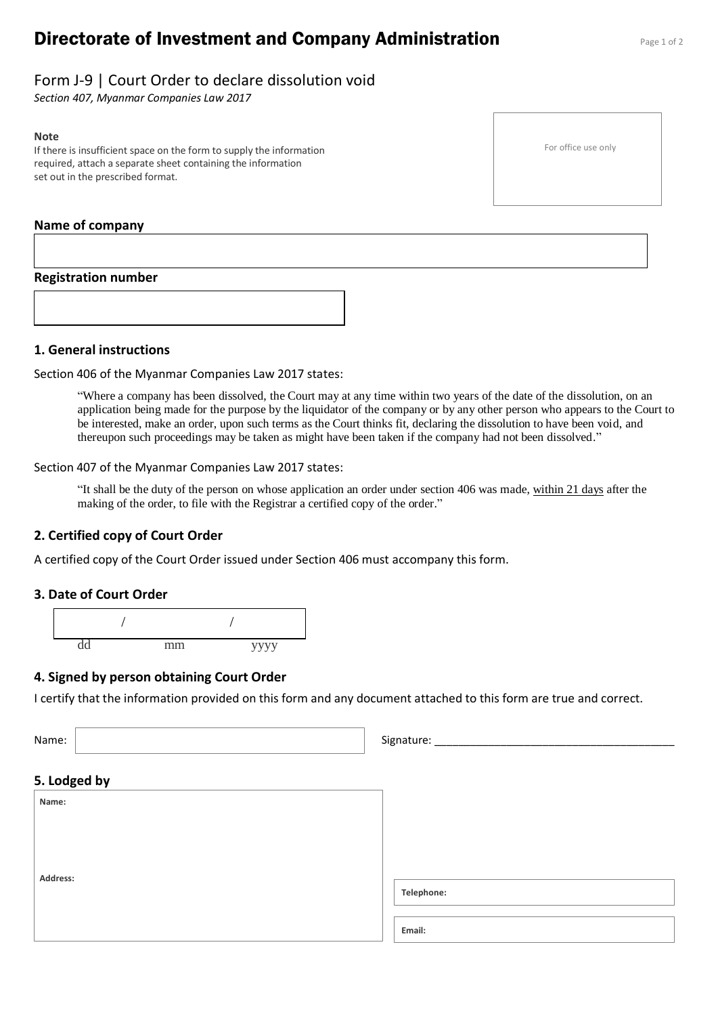# **Directorate of Investment and Company Administration** Page 1 of 2

For office use only

# Form J-9 | Court Order to declare dissolution void

*Section 407, Myanmar Companies Law 2017*

#### **Note**

If there is insufficient space on the form to supply the information required, attach a separate sheet containing the information set out in the prescribed format.

## **Name of company**

### **Registration number**

**1. General instructions** 

Section 406 of the Myanmar Companies Law 2017 states:

"Where a company has been dissolved, the Court may at any time within two years of the date of the dissolution, on an application being made for the purpose by the liquidator of the company or by any other person who appears to the Court to be interested, make an order, upon such terms as the Court thinks fit, declaring the dissolution to have been void, and thereupon such proceedings may be taken as might have been taken if the company had not been dissolved."

Section 407 of the Myanmar Companies Law 2017 states:

"It shall be the duty of the person on whose application an order under section 406 was made, within 21 days after the making of the order, to file with the Registrar a certified copy of the order."

## **2. Certified copy of Court Order**

A certified copy of the Court Order issued under Section 406 must accompany this form.

### **3. Date of Court Order**



### **4. Signed by person obtaining Court Order**

I certify that the information provided on this form and any document attached to this form are true and correct.

| Name:        | Signature: |
|--------------|------------|
|              |            |
| 5. Lodged by |            |
| Name:        |            |
|              |            |
|              |            |
|              |            |
| Address:     | Telephone: |
|              |            |
|              | Email:     |